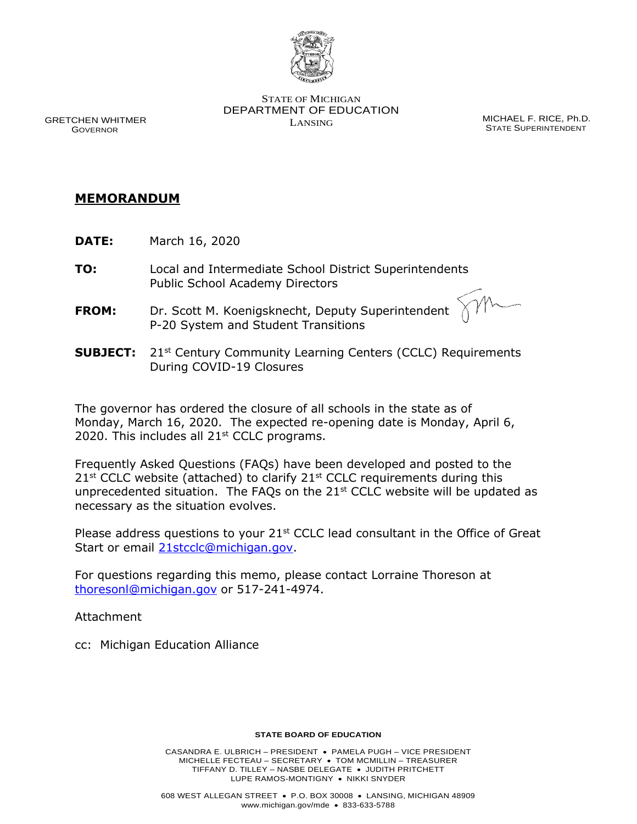

STATE OF MICHIGAN DEPARTMENT OF EDUCATION LANSING MICHAEL F. RICE, Ph.D.

STATE SUPERINTENDENT

 GRETCHEN WHITMER GOVERNOR

## **MEMORANDUM**

- **DATE:** March 16, 2020
- **TO:** Local and Intermediate School District Superintendents Public School Academy Directors
- **FROM:** Dr. Scott M. Koenigsknecht, Deputy Superintendent P-20 System and Student Transitions

**SUBJECT:** 21<sup>st</sup> Century Community Learning Centers (CCLC) Requirements During COVID-19 Closures

The governor has ordered the closure of all schools in the state as of Monday, March 16, 2020. The expected re-opening date is Monday, April 6, 2020. This includes all  $21<sup>st</sup>$  CCLC programs.

Frequently Asked Questions (FAQs) have been developed and posted to the  $21^{st}$  CCLC website (attached) to clarify  $21^{st}$  CCLC requirements during this unprecedented situation. The FAQs on the  $21<sup>st</sup>$  CCLC website will be updated as necessary as the situation evolves.

Please address questions to your  $21^{st}$  CCLC lead consultant in the Office of Great Start or email [21stcclc@michigan.gov.](mailto:21stcclc@michigan.gov)

For questions regarding this memo, please contact Lorraine Thoreson at [thoresonl@michigan.gov](mailto:thoresonl@michigan.gov) or 517-241-4974.

Attachment

cc: Michigan Education Alliance

## **STATE BOARD OF EDUCATION**

CASANDRA E. ULBRICH – PRESIDENT • PAMELA PUGH – VICE PRESIDENT MICHELLE FECTEAU – SECRETARY • TOM MCMILLIN – TREASURER TIFFANY D. TILLEY – NASBE DELEGATE • JUDITH PRITCHETT LUPE RAMOS-MONTIGNY • NIKKI SNYDER